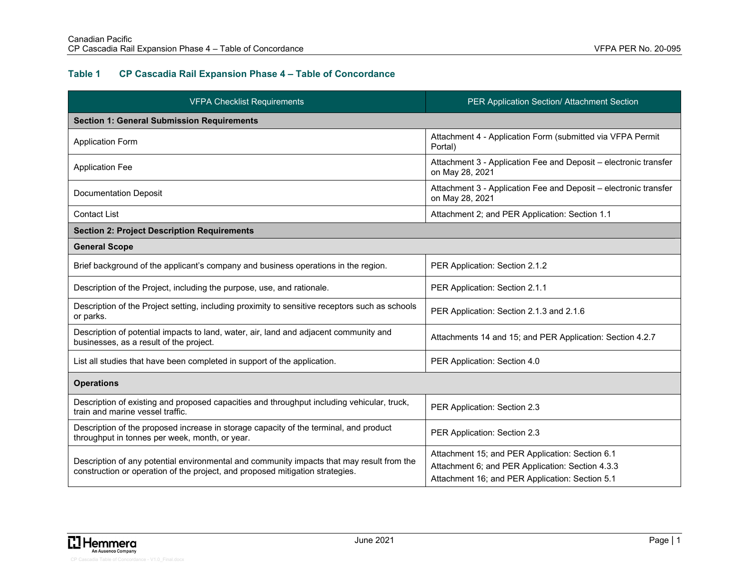## **Table 1 CP Cascadia Rail Expansion Phase 4 – Table of Concordance**

| <b>VFPA Checklist Requirements</b>                                                                                                                                         | PER Application Section/ Attachment Section                                                                                                            |
|----------------------------------------------------------------------------------------------------------------------------------------------------------------------------|--------------------------------------------------------------------------------------------------------------------------------------------------------|
| <b>Section 1: General Submission Requirements</b>                                                                                                                          |                                                                                                                                                        |
| <b>Application Form</b>                                                                                                                                                    | Attachment 4 - Application Form (submitted via VFPA Permit<br>Portal)                                                                                  |
| <b>Application Fee</b>                                                                                                                                                     | Attachment 3 - Application Fee and Deposit - electronic transfer<br>on May 28, 2021                                                                    |
| <b>Documentation Deposit</b>                                                                                                                                               | Attachment 3 - Application Fee and Deposit - electronic transfer<br>on May 28, 2021                                                                    |
| <b>Contact List</b>                                                                                                                                                        | Attachment 2; and PER Application: Section 1.1                                                                                                         |
| <b>Section 2: Project Description Requirements</b>                                                                                                                         |                                                                                                                                                        |
| <b>General Scope</b>                                                                                                                                                       |                                                                                                                                                        |
| Brief background of the applicant's company and business operations in the region.                                                                                         | PER Application: Section 2.1.2                                                                                                                         |
| Description of the Project, including the purpose, use, and rationale.                                                                                                     | PER Application: Section 2.1.1                                                                                                                         |
| Description of the Project setting, including proximity to sensitive receptors such as schools<br>or parks.                                                                | PER Application: Section 2.1.3 and 2.1.6                                                                                                               |
| Description of potential impacts to land, water, air, land and adjacent community and<br>businesses, as a result of the project.                                           | Attachments 14 and 15; and PER Application: Section 4.2.7                                                                                              |
| List all studies that have been completed in support of the application.                                                                                                   | PER Application: Section 4.0                                                                                                                           |
| <b>Operations</b>                                                                                                                                                          |                                                                                                                                                        |
| Description of existing and proposed capacities and throughput including vehicular, truck,<br>train and marine vessel traffic.                                             | PER Application: Section 2.3                                                                                                                           |
| Description of the proposed increase in storage capacity of the terminal, and product<br>throughput in tonnes per week, month, or year.                                    | PER Application: Section 2.3                                                                                                                           |
| Description of any potential environmental and community impacts that may result from the<br>construction or operation of the project, and proposed mitigation strategies. | Attachment 15; and PER Application: Section 6.1<br>Attachment 6; and PER Application: Section 4.3.3<br>Attachment 16; and PER Application: Section 5.1 |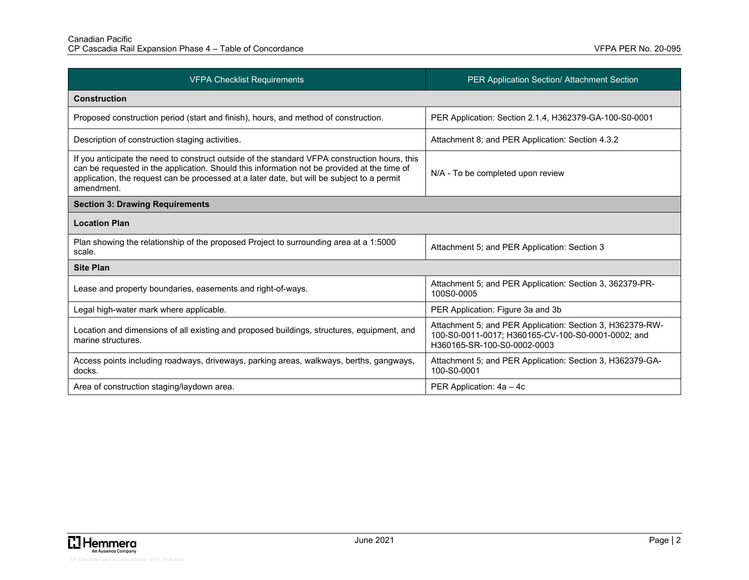| <b>VFPA Checklist Requirements</b>                                                                                                                                                                                                                                                                      | PER Application Section/ Attachment Section                                                                                                    |
|---------------------------------------------------------------------------------------------------------------------------------------------------------------------------------------------------------------------------------------------------------------------------------------------------------|------------------------------------------------------------------------------------------------------------------------------------------------|
| <b>Construction</b>                                                                                                                                                                                                                                                                                     |                                                                                                                                                |
| Proposed construction period (start and finish), hours, and method of construction.                                                                                                                                                                                                                     | PER Application: Section 2.1.4, H362379-GA-100-S0-0001                                                                                         |
| Description of construction staging activities.                                                                                                                                                                                                                                                         | Attachment 8; and PER Application: Section 4.3.2                                                                                               |
| If you anticipate the need to construct outside of the standard VFPA construction hours, this<br>can be requested in the application. Should this information not be provided at the time of<br>application, the request can be processed at a later date, but will be subject to a permit<br>amendment | N/A - To be completed upon review                                                                                                              |
| <b>Section 3: Drawing Requirements</b>                                                                                                                                                                                                                                                                  |                                                                                                                                                |
| <b>Location Plan</b>                                                                                                                                                                                                                                                                                    |                                                                                                                                                |
| Plan showing the relationship of the proposed Project to surrounding area at a 1:5000<br>scale.                                                                                                                                                                                                         | Attachment 5; and PER Application: Section 3                                                                                                   |
| <b>Site Plan</b>                                                                                                                                                                                                                                                                                        |                                                                                                                                                |
| Lease and property boundaries, easements and right-of-ways.                                                                                                                                                                                                                                             | Attachment 5; and PER Application: Section 3, 362379-PR-<br>100S0-0005                                                                         |
| Legal high-water mark where applicable.                                                                                                                                                                                                                                                                 | PER Application: Figure 3a and 3b                                                                                                              |
| Location and dimensions of all existing and proposed buildings, structures, equipment, and<br>marine structures.                                                                                                                                                                                        | Attachment 5; and PER Application: Section 3, H362379-RW-<br>100-S0-0011-0017; H360165-CV-100-S0-0001-0002; and<br>H360165-SR-100-S0-0002-0003 |
| Access points including roadways, driveways, parking areas, walkways, berths, gangways,<br>docks.                                                                                                                                                                                                       | Attachment 5; and PER Application: Section 3, H362379-GA-<br>100-S0-0001                                                                       |
| Area of construction staging/laydown area.                                                                                                                                                                                                                                                              | PER Application: 4a - 4c                                                                                                                       |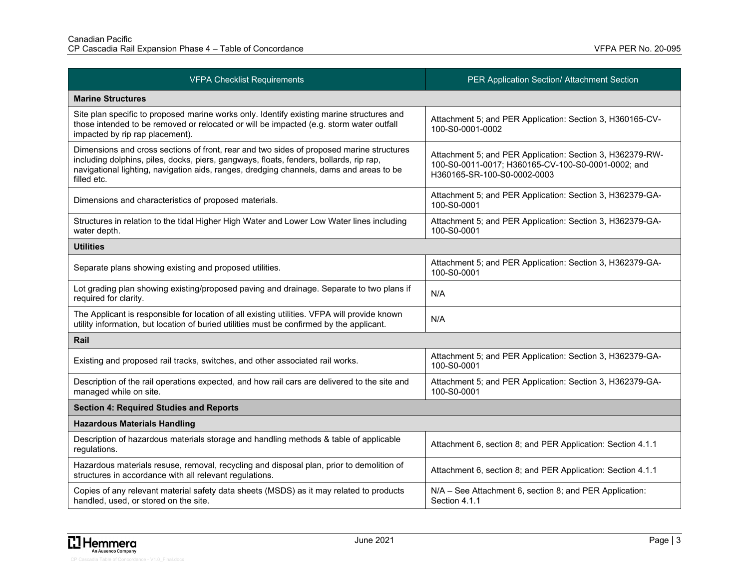| <b>VFPA Checklist Requirements</b>                                                                                                                                                                                                                                                           | PER Application Section/ Attachment Section                                                                                                    |
|----------------------------------------------------------------------------------------------------------------------------------------------------------------------------------------------------------------------------------------------------------------------------------------------|------------------------------------------------------------------------------------------------------------------------------------------------|
| <b>Marine Structures</b>                                                                                                                                                                                                                                                                     |                                                                                                                                                |
| Site plan specific to proposed marine works only. Identify existing marine structures and<br>those intended to be removed or relocated or will be impacted (e.g. storm water outfall<br>impacted by rip rap placement).                                                                      | Attachment 5; and PER Application: Section 3, H360165-CV-<br>100-S0-0001-0002                                                                  |
| Dimensions and cross sections of front, rear and two sides of proposed marine structures<br>including dolphins, piles, docks, piers, gangways, floats, fenders, bollards, rip rap,<br>navigational lighting, navigation aids, ranges, dredging channels, dams and areas to be<br>filled etc. | Attachment 5; and PER Application: Section 3, H362379-RW-<br>100-S0-0011-0017; H360165-CV-100-S0-0001-0002; and<br>H360165-SR-100-S0-0002-0003 |
| Dimensions and characteristics of proposed materials.                                                                                                                                                                                                                                        | Attachment 5; and PER Application: Section 3, H362379-GA-<br>100-S0-0001                                                                       |
| Structures in relation to the tidal Higher High Water and Lower Low Water lines including<br>water depth.                                                                                                                                                                                    | Attachment 5; and PER Application: Section 3, H362379-GA-<br>100-S0-0001                                                                       |
| <b>Utilities</b>                                                                                                                                                                                                                                                                             |                                                                                                                                                |
| Separate plans showing existing and proposed utilities.                                                                                                                                                                                                                                      | Attachment 5; and PER Application: Section 3, H362379-GA-<br>100-S0-0001                                                                       |
| Lot grading plan showing existing/proposed paving and drainage. Separate to two plans if<br>required for clarity.                                                                                                                                                                            | N/A                                                                                                                                            |
| The Applicant is responsible for location of all existing utilities. VFPA will provide known<br>utility information, but location of buried utilities must be confirmed by the applicant.                                                                                                    | N/A                                                                                                                                            |
| Rail                                                                                                                                                                                                                                                                                         |                                                                                                                                                |
| Existing and proposed rail tracks, switches, and other associated rail works.                                                                                                                                                                                                                | Attachment 5; and PER Application: Section 3, H362379-GA-<br>100-S0-0001                                                                       |
| Description of the rail operations expected, and how rail cars are delivered to the site and<br>managed while on site.                                                                                                                                                                       | Attachment 5; and PER Application: Section 3, H362379-GA-<br>100-S0-0001                                                                       |
| <b>Section 4: Required Studies and Reports</b>                                                                                                                                                                                                                                               |                                                                                                                                                |
| <b>Hazardous Materials Handling</b>                                                                                                                                                                                                                                                          |                                                                                                                                                |
| Description of hazardous materials storage and handling methods & table of applicable<br>regulations.                                                                                                                                                                                        | Attachment 6, section 8; and PER Application: Section 4.1.1                                                                                    |
| Hazardous materials resuse, removal, recycling and disposal plan, prior to demolition of<br>structures in accordance with all relevant regulations.                                                                                                                                          | Attachment 6, section 8; and PER Application: Section 4.1.1                                                                                    |
| Copies of any relevant material safety data sheets (MSDS) as it may related to products<br>handled, used, or stored on the site.                                                                                                                                                             | N/A - See Attachment 6, section 8; and PER Application:<br>Section 4.1.1                                                                       |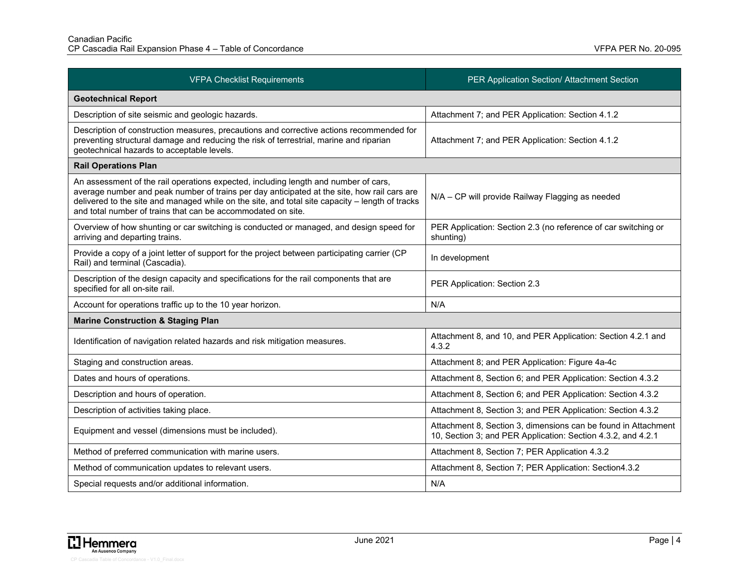| <b>VFPA Checklist Requirements</b>                                                                                                                                                                                                                                                                                                                    | PER Application Section/ Attachment Section                                                                                    |
|-------------------------------------------------------------------------------------------------------------------------------------------------------------------------------------------------------------------------------------------------------------------------------------------------------------------------------------------------------|--------------------------------------------------------------------------------------------------------------------------------|
| <b>Geotechnical Report</b>                                                                                                                                                                                                                                                                                                                            |                                                                                                                                |
| Description of site seismic and geologic hazards.                                                                                                                                                                                                                                                                                                     | Attachment 7; and PER Application: Section 4.1.2                                                                               |
| Description of construction measures, precautions and corrective actions recommended for<br>preventing structural damage and reducing the risk of terrestrial, marine and riparian<br>geotechnical hazards to acceptable levels.                                                                                                                      | Attachment 7; and PER Application: Section 4.1.2                                                                               |
| <b>Rail Operations Plan</b>                                                                                                                                                                                                                                                                                                                           |                                                                                                                                |
| An assessment of the rail operations expected, including length and number of cars,<br>average number and peak number of trains per day anticipated at the site, how rail cars are<br>delivered to the site and managed while on the site, and total site capacity - length of tracks<br>and total number of trains that can be accommodated on site. | N/A - CP will provide Railway Flagging as needed                                                                               |
| Overview of how shunting or car switching is conducted or managed, and design speed for<br>arriving and departing trains.                                                                                                                                                                                                                             | PER Application: Section 2.3 (no reference of car switching or<br>shunting)                                                    |
| Provide a copy of a joint letter of support for the project between participating carrier (CP<br>Rail) and terminal (Cascadia).                                                                                                                                                                                                                       | In development                                                                                                                 |
| Description of the design capacity and specifications for the rail components that are<br>specified for all on-site rail.                                                                                                                                                                                                                             | PER Application: Section 2.3                                                                                                   |
| Account for operations traffic up to the 10 year horizon.                                                                                                                                                                                                                                                                                             | N/A                                                                                                                            |
| <b>Marine Construction &amp; Staging Plan</b>                                                                                                                                                                                                                                                                                                         |                                                                                                                                |
| Identification of navigation related hazards and risk mitigation measures.                                                                                                                                                                                                                                                                            | Attachment 8, and 10, and PER Application: Section 4.2.1 and<br>4.3.2                                                          |
| Staging and construction areas.                                                                                                                                                                                                                                                                                                                       | Attachment 8; and PER Application: Figure 4a-4c                                                                                |
| Dates and hours of operations.                                                                                                                                                                                                                                                                                                                        | Attachment 8, Section 6; and PER Application: Section 4.3.2                                                                    |
| Description and hours of operation.                                                                                                                                                                                                                                                                                                                   | Attachment 8, Section 6; and PER Application: Section 4.3.2                                                                    |
| Description of activities taking place.                                                                                                                                                                                                                                                                                                               | Attachment 8, Section 3; and PER Application: Section 4.3.2                                                                    |
| Equipment and vessel (dimensions must be included).                                                                                                                                                                                                                                                                                                   | Attachment 8, Section 3, dimensions can be found in Attachment<br>10, Section 3; and PER Application: Section 4.3.2, and 4.2.1 |
| Method of preferred communication with marine users.                                                                                                                                                                                                                                                                                                  | Attachment 8, Section 7; PER Application 4.3.2                                                                                 |
| Method of communication updates to relevant users.                                                                                                                                                                                                                                                                                                    | Attachment 8, Section 7; PER Application: Section4.3.2                                                                         |
| Special requests and/or additional information.                                                                                                                                                                                                                                                                                                       | N/A                                                                                                                            |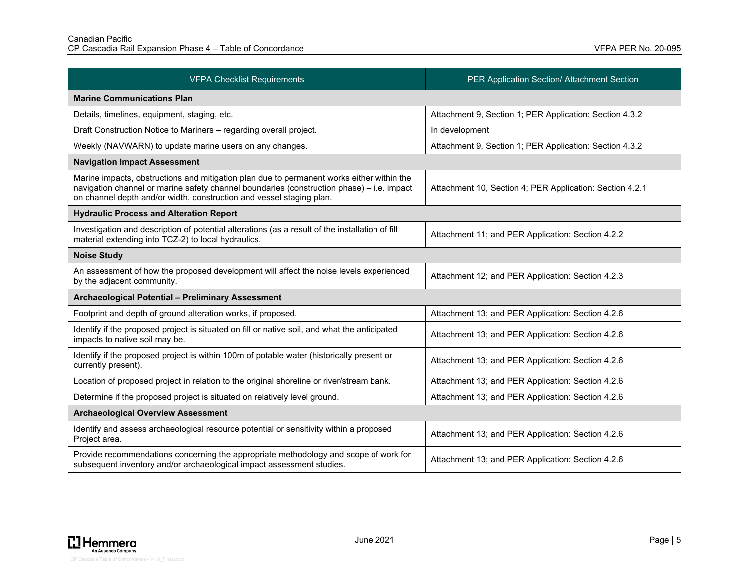| <b>VFPA Checklist Requirements</b>                                                                                                                                                                                                                             | PER Application Section/ Attachment Section              |
|----------------------------------------------------------------------------------------------------------------------------------------------------------------------------------------------------------------------------------------------------------------|----------------------------------------------------------|
| <b>Marine Communications Plan</b>                                                                                                                                                                                                                              |                                                          |
| Details, timelines, equipment, staging, etc.                                                                                                                                                                                                                   | Attachment 9, Section 1; PER Application: Section 4.3.2  |
| Draft Construction Notice to Mariners - regarding overall project.                                                                                                                                                                                             | In development                                           |
| Weekly (NAVWARN) to update marine users on any changes.                                                                                                                                                                                                        | Attachment 9, Section 1; PER Application: Section 4.3.2  |
| <b>Navigation Impact Assessment</b>                                                                                                                                                                                                                            |                                                          |
| Marine impacts, obstructions and mitigation plan due to permanent works either within the<br>navigation channel or marine safety channel boundaries (construction phase) - i.e. impact<br>on channel depth and/or width, construction and vessel staging plan. | Attachment 10, Section 4; PER Application: Section 4.2.1 |
| <b>Hydraulic Process and Alteration Report</b>                                                                                                                                                                                                                 |                                                          |
| Investigation and description of potential alterations (as a result of the installation of fill<br>material extending into TCZ-2) to local hydraulics.                                                                                                         | Attachment 11; and PER Application: Section 4.2.2        |
| <b>Noise Study</b>                                                                                                                                                                                                                                             |                                                          |
| An assessment of how the proposed development will affect the noise levels experienced<br>by the adjacent community.                                                                                                                                           | Attachment 12; and PER Application: Section 4.2.3        |
| Archaeological Potential - Preliminary Assessment                                                                                                                                                                                                              |                                                          |
| Footprint and depth of ground alteration works, if proposed.                                                                                                                                                                                                   | Attachment 13; and PER Application: Section 4.2.6        |
| Identify if the proposed project is situated on fill or native soil, and what the anticipated<br>impacts to native soil may be.                                                                                                                                | Attachment 13; and PER Application: Section 4.2.6        |
| Identify if the proposed project is within 100m of potable water (historically present or<br>currently present).                                                                                                                                               | Attachment 13; and PER Application: Section 4.2.6        |
| Location of proposed project in relation to the original shoreline or river/stream bank.                                                                                                                                                                       | Attachment 13; and PER Application: Section 4.2.6        |
| Determine if the proposed project is situated on relatively level ground.                                                                                                                                                                                      | Attachment 13; and PER Application: Section 4.2.6        |
| <b>Archaeological Overview Assessment</b>                                                                                                                                                                                                                      |                                                          |
| Identify and assess archaeological resource potential or sensitivity within a proposed<br>Project area.                                                                                                                                                        | Attachment 13; and PER Application: Section 4.2.6        |
| Provide recommendations concerning the appropriate methodology and scope of work for<br>subsequent inventory and/or archaeological impact assessment studies.                                                                                                  | Attachment 13; and PER Application: Section 4.2.6        |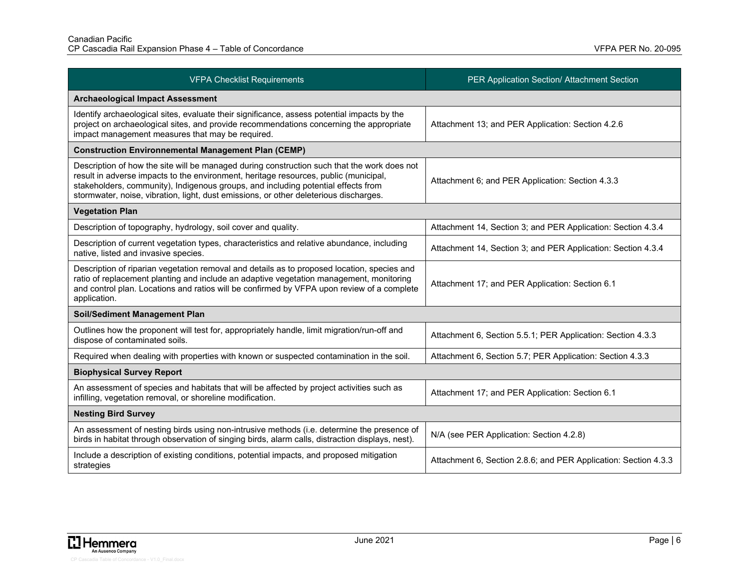| <b>VFPA Checklist Requirements</b>                                                                                                                                                                                                                                                                                                                                | PER Application Section/ Attachment Section                     |
|-------------------------------------------------------------------------------------------------------------------------------------------------------------------------------------------------------------------------------------------------------------------------------------------------------------------------------------------------------------------|-----------------------------------------------------------------|
| <b>Archaeological Impact Assessment</b>                                                                                                                                                                                                                                                                                                                           |                                                                 |
| Identify archaeological sites, evaluate their significance, assess potential impacts by the<br>project on archaeological sites, and provide recommendations concerning the appropriate<br>impact management measures that may be required.                                                                                                                        | Attachment 13; and PER Application: Section 4.2.6               |
| <b>Construction Environnemental Management Plan (CEMP)</b>                                                                                                                                                                                                                                                                                                        |                                                                 |
| Description of how the site will be managed during construction such that the work does not<br>result in adverse impacts to the environment, heritage resources, public (municipal,<br>stakeholders, community), Indigenous groups, and including potential effects from<br>stormwater, noise, vibration, light, dust emissions, or other deleterious discharges. | Attachment 6; and PER Application: Section 4.3.3                |
| <b>Vegetation Plan</b>                                                                                                                                                                                                                                                                                                                                            |                                                                 |
| Description of topography, hydrology, soil cover and quality.                                                                                                                                                                                                                                                                                                     | Attachment 14, Section 3; and PER Application: Section 4.3.4    |
| Description of current vegetation types, characteristics and relative abundance, including<br>native, listed and invasive species.                                                                                                                                                                                                                                | Attachment 14, Section 3; and PER Application: Section 4.3.4    |
| Description of riparian vegetation removal and details as to proposed location, species and<br>ratio of replacement planting and include an adaptive vegetation management, monitoring<br>and control plan. Locations and ratios will be confirmed by VFPA upon review of a complete<br>application.                                                              | Attachment 17; and PER Application: Section 6.1                 |
| <b>Soil/Sediment Management Plan</b>                                                                                                                                                                                                                                                                                                                              |                                                                 |
| Outlines how the proponent will test for, appropriately handle, limit migration/run-off and<br>dispose of contaminated soils.                                                                                                                                                                                                                                     | Attachment 6, Section 5.5.1; PER Application: Section 4.3.3     |
| Required when dealing with properties with known or suspected contamination in the soil.                                                                                                                                                                                                                                                                          | Attachment 6, Section 5.7; PER Application: Section 4.3.3       |
| <b>Biophysical Survey Report</b>                                                                                                                                                                                                                                                                                                                                  |                                                                 |
| An assessment of species and habitats that will be affected by project activities such as<br>infilling, vegetation removal, or shoreline modification.                                                                                                                                                                                                            | Attachment 17; and PER Application: Section 6.1                 |
| <b>Nesting Bird Survey</b>                                                                                                                                                                                                                                                                                                                                        |                                                                 |
| An assessment of nesting birds using non-intrusive methods (i.e. determine the presence of<br>birds in habitat through observation of singing birds, alarm calls, distraction displays, nest).                                                                                                                                                                    | N/A (see PER Application: Section 4.2.8)                        |
| Include a description of existing conditions, potential impacts, and proposed mitigation<br>strategies                                                                                                                                                                                                                                                            | Attachment 6, Section 2.8.6; and PER Application: Section 4.3.3 |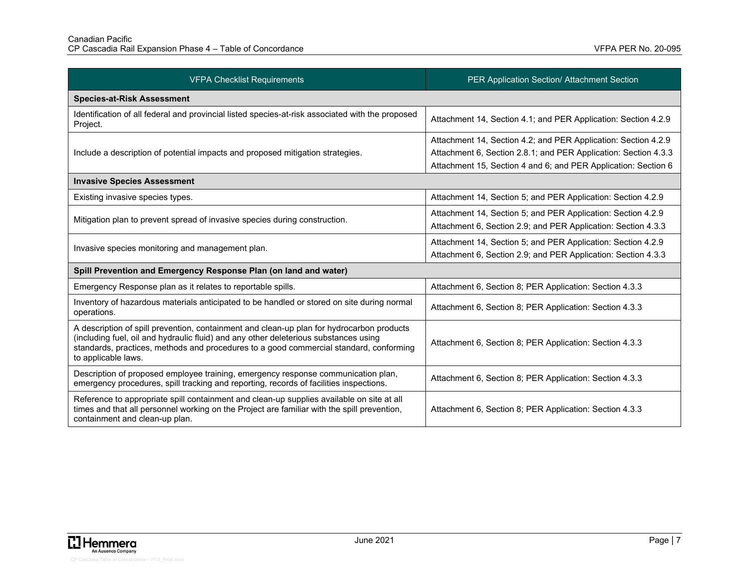| <b>VFPA Checklist Requirements</b>                                                                                                                                                                                                                                                                 | PER Application Section/ Attachment Section                                                                                                                                                         |
|----------------------------------------------------------------------------------------------------------------------------------------------------------------------------------------------------------------------------------------------------------------------------------------------------|-----------------------------------------------------------------------------------------------------------------------------------------------------------------------------------------------------|
| <b>Species-at-Risk Assessment</b>                                                                                                                                                                                                                                                                  |                                                                                                                                                                                                     |
| Identification of all federal and provincial listed species-at-risk associated with the proposed<br>Project.                                                                                                                                                                                       | Attachment 14, Section 4.1; and PER Application: Section 4.2.9                                                                                                                                      |
| Include a description of potential impacts and proposed mitigation strategies.                                                                                                                                                                                                                     | Attachment 14, Section 4.2; and PER Application: Section 4.2.9<br>Attachment 6, Section 2.8.1; and PER Application: Section 4.3.3<br>Attachment 15, Section 4 and 6; and PER Application: Section 6 |
| <b>Invasive Species Assessment</b>                                                                                                                                                                                                                                                                 |                                                                                                                                                                                                     |
| Existing invasive species types.                                                                                                                                                                                                                                                                   | Attachment 14, Section 5; and PER Application: Section 4.2.9                                                                                                                                        |
| Mitigation plan to prevent spread of invasive species during construction.                                                                                                                                                                                                                         | Attachment 14, Section 5; and PER Application: Section 4.2.9<br>Attachment 6, Section 2.9; and PER Application: Section 4.3.3                                                                       |
| Invasive species monitoring and management plan.                                                                                                                                                                                                                                                   | Attachment 14, Section 5; and PER Application: Section 4.2.9<br>Attachment 6, Section 2.9; and PER Application: Section 4.3.3                                                                       |
| Spill Prevention and Emergency Response Plan (on land and water)                                                                                                                                                                                                                                   |                                                                                                                                                                                                     |
| Emergency Response plan as it relates to reportable spills.                                                                                                                                                                                                                                        | Attachment 6, Section 8; PER Application: Section 4.3.3                                                                                                                                             |
| Inventory of hazardous materials anticipated to be handled or stored on site during normal<br>operations.                                                                                                                                                                                          | Attachment 6, Section 8; PER Application: Section 4.3.3                                                                                                                                             |
| A description of spill prevention, containment and clean-up plan for hydrocarbon products<br>(including fuel, oil and hydraulic fluid) and any other deleterious substances using<br>standards, practices, methods and procedures to a good commercial standard, conforming<br>to applicable laws. | Attachment 6, Section 8; PER Application: Section 4.3.3                                                                                                                                             |
| Description of proposed employee training, emergency response communication plan,<br>emergency procedures, spill tracking and reporting, records of facilities inspections.                                                                                                                        | Attachment 6, Section 8; PER Application: Section 4.3.3                                                                                                                                             |
| Reference to appropriate spill containment and clean-up supplies available on site at all<br>times and that all personnel working on the Project are familiar with the spill prevention,<br>containment and clean-up plan.                                                                         | Attachment 6, Section 8; PER Application: Section 4.3.3                                                                                                                                             |